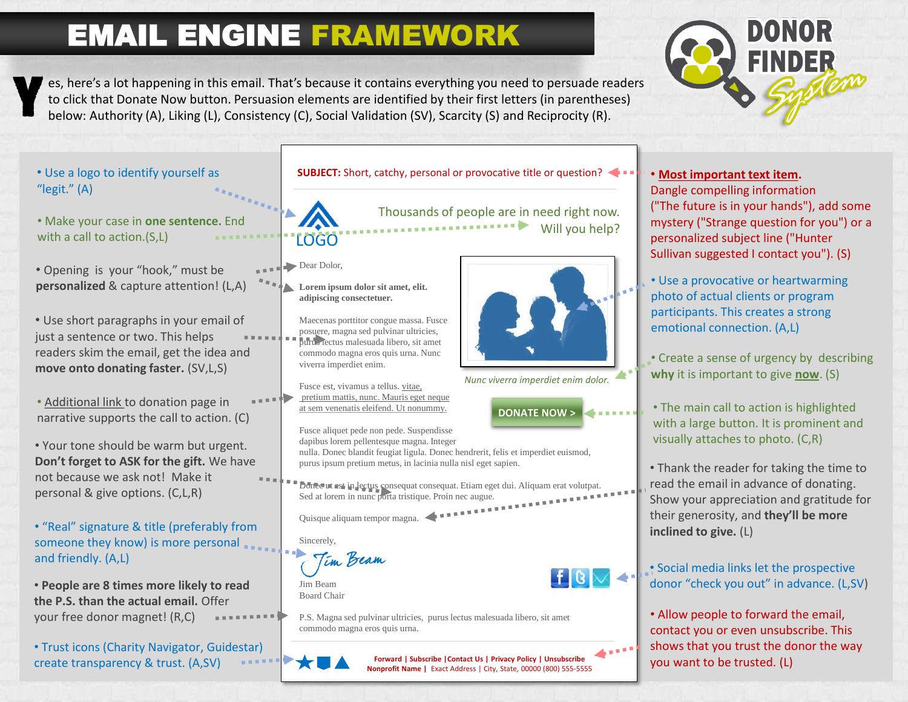# EMAIL ENGINE FRAMEWORK



es, here's a lot happening in this email. That's because it contains everything you need to persuade readers to click that Donate Now button. Persuasion elements are identified by their first letters (in parentheses) below: Authority (A), Liking (L), Consistency (C), Social Validation (SV), Scarcity (S) and Reciprocity (R). Y

- Use a logo to identify yourself as "legit." (A)
- Make your case in **one sentence.** End with a call to action.(S,L)
- Opening is your "hook," must be **personalized** & capture attention! (L,A) **• Use a provocative or heartwarming**
- Use short paragraphs in your email of just a sentence or two. This helps readers skim the email, get the idea and **move onto donating faster.** (SV,L,S)
- Additional link to donation page in narrative supports the call to action. (C)
- Your tone should be warm but urgent. **Don't forget to ASK for the gift.** We have not because we ask not! Make it personal & give options. (C,L,R)
- "Real" signature & title (preferably from someone they know) is more personal and friendly. (A,L)
- **People are 8 times more likely to read the P.S. than the actual email.** Offer your free donor magnet! (R,C)
- Trust icons (Charity Navigator, Guidestar) create transparency & trust. (A,SV)

**SUBJECT:** Short, catchy, personal or provocative title or question?

Thousands of people are in need right now. Will you help?

Dear Dolor,

LOGO

**Lorem ipsum dolor sit amet, elit. adipiscing consectetuer.**

Maecenas porttitor congue massa. Fusce posuere, magna sed pulvinar ultricies, purus lectus malesuada libero, sit amet commodo magna eros quis urna. Nunc viverra imperdiet enim.

Fusce est, vivamus a tellus. vitae, pretium mattis, nunc. Mauris eget neque at sem venenatis eleifend. Ut nonummy.



*Nunc viverra imperdiet enim dolor.*

**DONATE NOW >**

Fusce aliquet pede non pede. Suspendisse

nulla. Donec blandit feugiat ligula. Donec hendrerit, felis et imperdiet euismod, purus ipsum pretium metus, in lacinia nulla nisl eget sapien.

Donec ut est in lectus consequat consequat. Etiam eget dui. Aliquam erat volutpat. Sed at lorem in nunc porta tristique. Proin nec augue.

Quisque aliquam tempor magna.

Sincerely,

<sup>t</sup>im Beam

Jim Beam Board Chair

P.S. Magna sed pulvinar ultricies, purus lectus malesuada libero, sit amet commodo magna eros quis urna.

**Forward | Subscribe |Contact Us | Privacy Policy | Unsubscribe Nonprofit Name |** Exact Address | City, State, 00000 (800) 555-5555



personalized subject line ("Hunter Sullivan suggested I contact you"). (S)

photo of actual clients or program participants. This creates a strong emotional connection. (A,L)

• Create a sense of urgency by describing **why** it is important to give **now**. (S)

• The main call to action is highlighted with a large button. It is prominent and visually attaches to photo. (C,R)

• Thank the reader for taking the time to read the email in advance of donating. Show your appreciation and gratitude for their generosity, and **they'll be more inclined to give.** (L)

• Social media links let the prospective donor "check you out" in advance. (L,SV)

• Allow people to forward the email, contact you or even unsubscribe. This shows that you trust the donor the way you want to be trusted. (L)

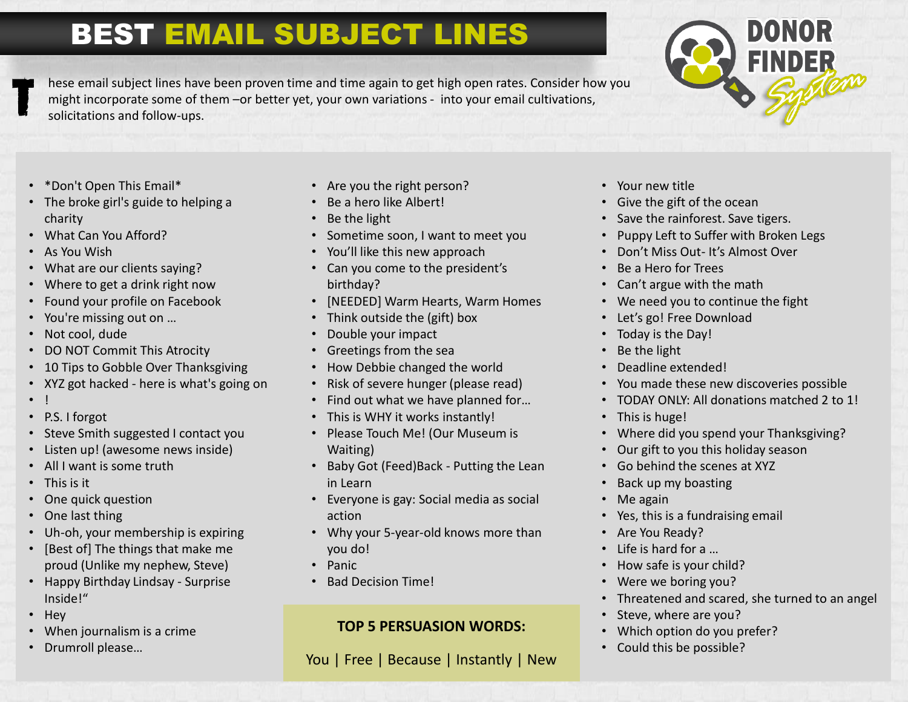### BEST EMAIL SUBJECT LINES

hese email subject lines have been proven time and time again to get high open rates. Consider how you might incorporate some of them –or better yet, your own variations - into your email cultivations, solicitations and follow-ups.



- \*Don't Open This Email\*
- The broke girl's guide to helping a charity
- What Can You Afford?
- As You Wish
- What are our clients saying?
- Where to get a drink right now
- Found your profile on Facebook
- You're missing out on …
- Not cool, dude
- DO NOT Commit This Atrocity
- 10 Tips to Gobble Over Thanksgiving
- XYZ got hacked here is what's going on
- !
- P.S. I forgot
- Steve Smith suggested I contact you
- Listen up! (awesome news inside)
- All I want is some truth
- This is it
- One quick question
- One last thing
- Uh-oh, your membership is expiring
- [Best of] The things that make me proud (Unlike my nephew, Steve)
- Happy Birthday Lindsay Surprise Inside!"
- Hey
- When journalism is a crime
- Drumroll please…
- Are you the right person?
- Be a hero like Albert!
- Be the light
- Sometime soon, I want to meet you
- You'll like this new approach
- Can you come to the president's birthday?
- [NEEDED] Warm Hearts, Warm Homes
- Think outside the (gift) box
- Double your impact
- Greetings from the sea
- How Debbie changed the world
- Risk of severe hunger (please read)
- Find out what we have planned for…
- This is WHY it works instantly!
- Please Touch Me! (Our Museum is Waiting)
- Baby Got (Feed)Back Putting the Lean in Learn
- Everyone is gay: Social media as social action
- Why your 5-year-old knows more than you do!
- Panic
- Bad Decision Time!

#### **TOP 5 PERSUASION WORDS:**

You | Free | Because | Instantly | New

- Your new title
- Give the gift of the ocean
- Save the rainforest. Save tigers.
- Puppy Left to Suffer with Broken Legs
- Don't Miss Out- It's Almost Over
- Be a Hero for Trees
- Can't argue with the math
- We need you to continue the fight
- Let's go! Free Download
- Today is the Day!
- Be the light
- Deadline extended!
- You made these new discoveries possible
- TODAY ONLY: All donations matched 2 to 1!
- This is huge!
- Where did you spend your Thanksgiving?
- Our gift to you this holiday season
- Go behind the scenes at XYZ
- Back up my boasting
- Me again
- Yes, this is a fundraising email
- Are You Ready?
- Life is hard for a …
- How safe is your child?
- Were we boring you?
- Threatened and scared, she turned to an angel
- Steve, where are you?
- Which option do you prefer?
- Could this be possible?